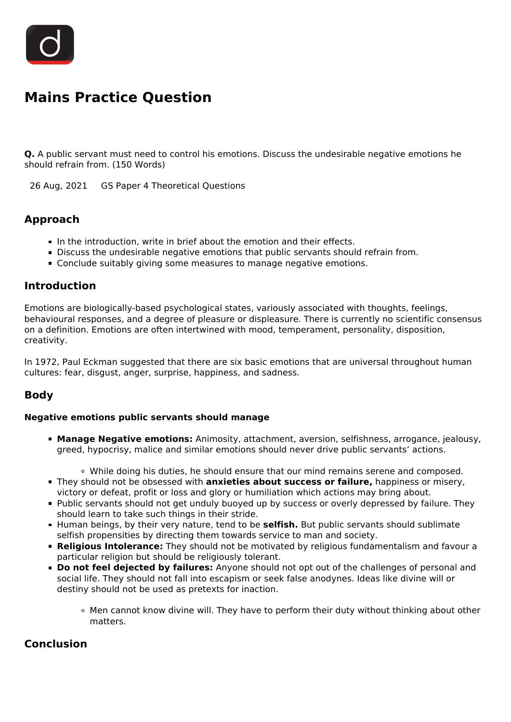

# **Mains Practice Question**

**Q.** A public servant must need to control his emotions. Discuss the undesirable negative emotions he should refrain from. (150 Words)

26 Aug, 2021 GS Paper 4 Theoretical Questions

## **Approach**

- $\blacksquare$  In the introduction, write in brief about the emotion and their effects.
- Discuss the undesirable negative emotions that public servants should refrain from.
- Conclude suitably giving some measures to manage negative emotions.

#### **Introduction**

Emotions are biologically-based psychological states, variously associated with thoughts, feelings, behavioural responses, and a degree of pleasure or displeasure. There is currently no scientific consensus on a definition. Emotions are often intertwined with mood, temperament, personality, disposition, creativity.

In 1972, Paul Eckman suggested that there are six basic emotions that are universal throughout human cultures: fear, disgust, anger, surprise, happiness, and sadness.

## **Body**

#### **Negative emotions public servants should manage**

- **Manage Negative emotions:** Animosity, attachment, aversion, selfishness, arrogance, jealousy, greed, hypocrisy, malice and similar emotions should never drive public servants' actions.
	- While doing his duties, he should ensure that our mind remains serene and composed.
- They should not be obsessed with **anxieties about success or failure,** happiness or misery, victory or defeat, profit or loss and glory or humiliation which actions may bring about.
- Public servants should not get unduly buoyed up by success or overly depressed by failure. They should learn to take such things in their stride.
- **Human beings, by their very nature, tend to be selfish.** But public servants should sublimate selfish propensities by directing them towards service to man and society.
- **Religious Intolerance:** They should not be motivated by religious fundamentalism and favour a particular religion but should be religiously tolerant.
- **Do not feel dejected by failures:** Anyone should not opt out of the challenges of personal and social life. They should not fall into escapism or seek false anodynes. Ideas like divine will or destiny should not be used as pretexts for inaction.
	- Men cannot know divine will. They have to perform their duty without thinking about other matters.

## **Conclusion**